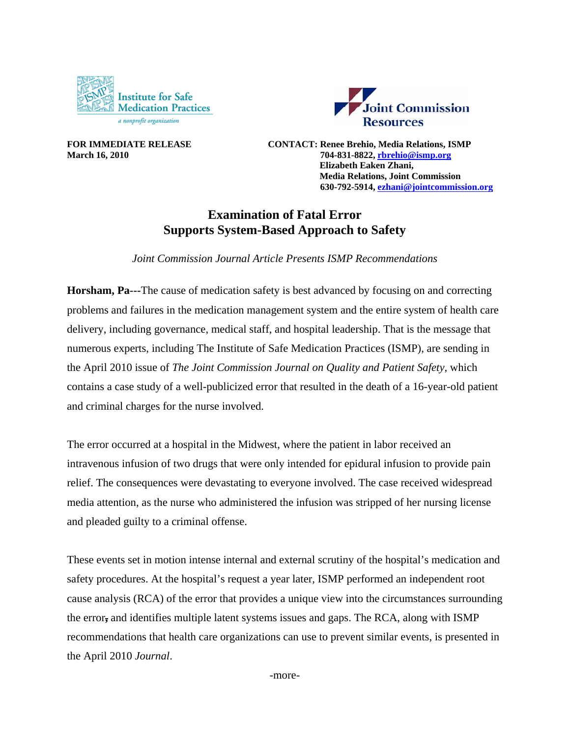



**FOR IMMEDIATE RELEASE CONTACT: Renee Brehio, Media Relations, ISMP March 16, 2010 704-831-8822, rbrehio@ismp.org Elizabeth Eaken Zhani, Media Relations, Joint Commission 630-792-5914, ezhani@jointcommission.org**

## **Examination of Fatal Error Supports System-Based Approach to Safety**

*Joint Commission Journal Article Presents ISMP Recommendations* 

**Horsham, Pa---**The cause of medication safety is best advanced by focusing on and correcting problems and failures in the medication management system and the entire system of health care delivery, including governance, medical staff, and hospital leadership. That is the message that numerous experts, including The Institute of Safe Medication Practices (ISMP), are sending in the April 2010 issue of *The Joint Commission Journal on Quality and Patient Safety,* which contains a case study of a well-publicized error that resulted in the death of a 16-year-old patient and criminal charges for the nurse involved.

The error occurred at a hospital in the Midwest, where the patient in labor received an intravenous infusion of two drugs that were only intended for epidural infusion to provide pain relief. The consequences were devastating to everyone involved. The case received widespread media attention, as the nurse who administered the infusion was stripped of her nursing license and pleaded guilty to a criminal offense.

These events set in motion intense internal and external scrutiny of the hospital's medication and safety procedures. At the hospital's request a year later, ISMP performed an independent root cause analysis (RCA) of the error that provides a unique view into the circumstances surrounding the error**,** and identifies multiple latent systems issues and gaps. The RCA, along with ISMP recommendations that health care organizations can use to prevent similar events, is presented in the April 2010 *Journal*.